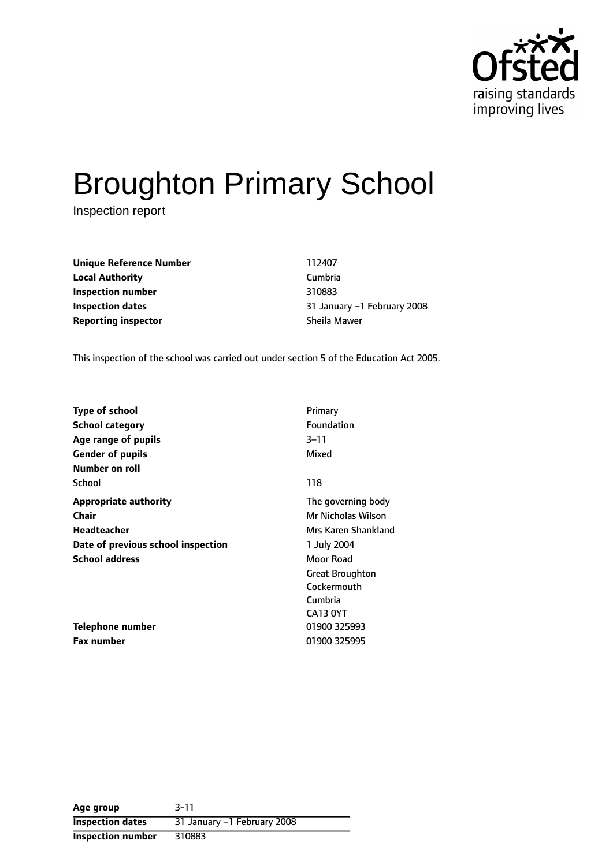

# Broughton Primary School

Inspection report

| <b>Unique Reference Number</b> | 112407        |
|--------------------------------|---------------|
| <b>Local Authority</b>         | Cumbria       |
| Inspection number              | 310883        |
| Inspection dates               | 31 January -1 |
| <b>Reporting inspector</b>     | Sheila Mawer  |

**Unique Reference Number** 112407 **Local Authority** Cumbria **Inspection number** 310883 **31 January -1 February 2008** 

This inspection of the school was carried out under section 5 of the Education Act 2005.

| <b>Type of school</b>              | Primary                |
|------------------------------------|------------------------|
| School category                    | Foundation             |
| Age range of pupils                | $3 - 11$               |
| <b>Gender of pupils</b>            | Mixed                  |
| Number on roll                     |                        |
| School                             | 118                    |
| <b>Appropriate authority</b>       | The governing body     |
| Chair                              | Mr Nicholas Wilson     |
| Headteacher                        | Mrs Karen Shankland    |
| Date of previous school inspection | 1 July 2004            |
| <b>School address</b>              | Moor Road              |
|                                    | <b>Great Broughton</b> |
|                                    | Cockermouth            |
|                                    | Cumbria                |
|                                    | CA13 0YT               |
| Telephone number                   | 01900 325993           |
| <b>Fax number</b>                  | 01900 325995           |

| Age group               | $3 - 11$                    |
|-------------------------|-----------------------------|
| <b>Inspection dates</b> | 31 January -1 February 2008 |
| Inspection number       | 310883                      |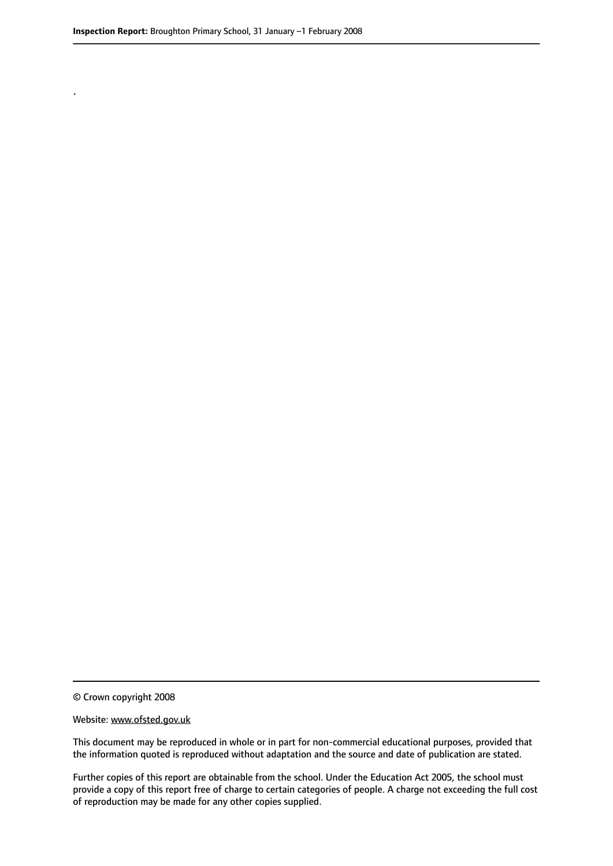.

© Crown copyright 2008

#### Website: www.ofsted.gov.uk

This document may be reproduced in whole or in part for non-commercial educational purposes, provided that the information quoted is reproduced without adaptation and the source and date of publication are stated.

Further copies of this report are obtainable from the school. Under the Education Act 2005, the school must provide a copy of this report free of charge to certain categories of people. A charge not exceeding the full cost of reproduction may be made for any other copies supplied.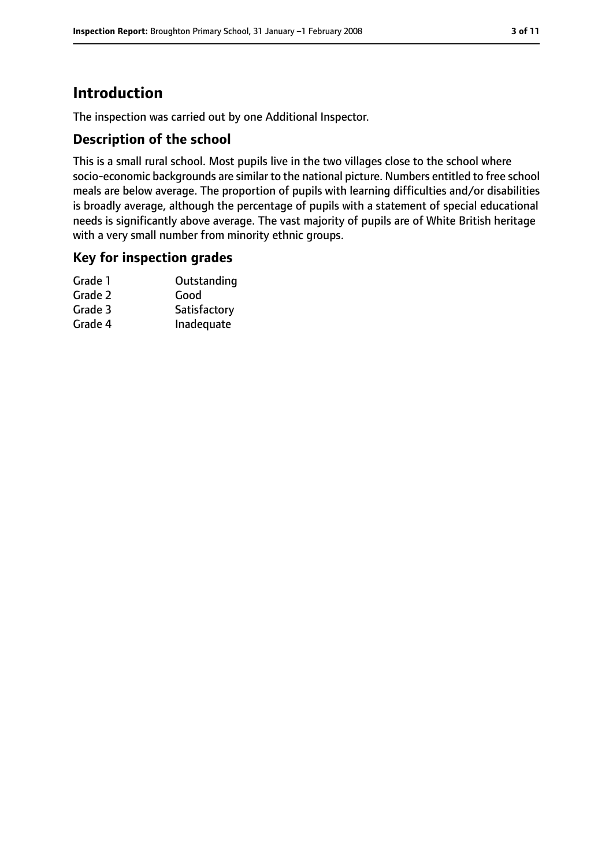# **Introduction**

The inspection was carried out by one Additional Inspector.

## **Description of the school**

This is a small rural school. Most pupils live in the two villages close to the school where socio-economic backgrounds are similar to the national picture. Numbers entitled to free school meals are below average. The proportion of pupils with learning difficulties and/or disabilities is broadly average, although the percentage of pupils with a statement of special educational needs is significantly above average. The vast majority of pupils are of White British heritage with a very small number from minority ethnic groups.

#### **Key for inspection grades**

| Grade 1 | Outstanding  |
|---------|--------------|
| Grade 2 | Good         |
| Grade 3 | Satisfactory |
| Grade 4 | Inadequate   |
|         |              |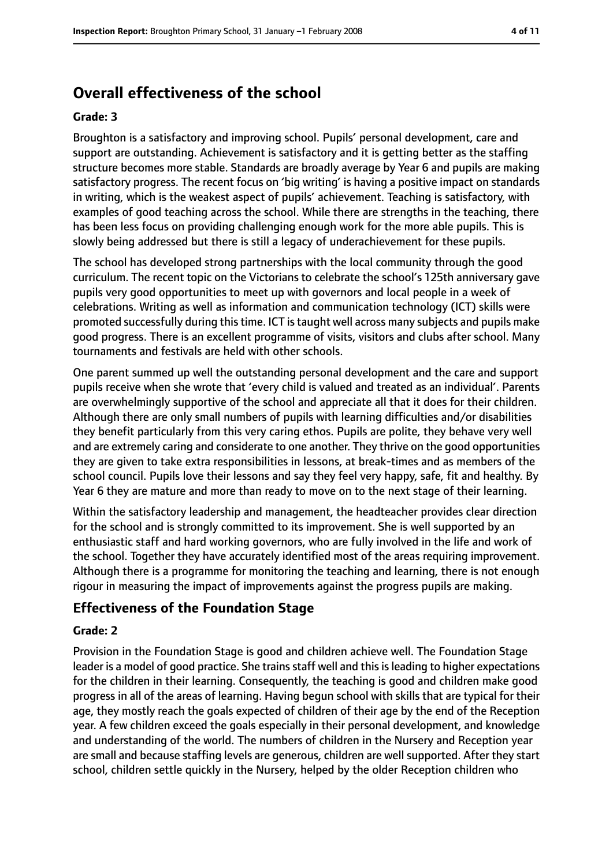# **Overall effectiveness of the school**

#### **Grade: 3**

Broughton is a satisfactory and improving school. Pupils' personal development, care and support are outstanding. Achievement is satisfactory and it is getting better as the staffing structure becomes more stable. Standards are broadly average by Year 6 and pupils are making satisfactory progress. The recent focus on 'big writing' is having a positive impact on standards in writing, which is the weakest aspect of pupils' achievement. Teaching is satisfactory, with examples of good teaching across the school. While there are strengths in the teaching, there has been less focus on providing challenging enough work for the more able pupils. This is slowly being addressed but there is still a legacy of underachievement for these pupils.

The school has developed strong partnerships with the local community through the good curriculum. The recent topic on the Victorians to celebrate the school's 125th anniversary gave pupils very good opportunities to meet up with governors and local people in a week of celebrations. Writing as well as information and communication technology (ICT) skills were promoted successfully during thistime. ICT istaught well across many subjects and pupils make good progress. There is an excellent programme of visits, visitors and clubs after school. Many tournaments and festivals are held with other schools.

One parent summed up well the outstanding personal development and the care and support pupils receive when she wrote that 'every child is valued and treated as an individual'. Parents are overwhelmingly supportive of the school and appreciate all that it does for their children. Although there are only small numbers of pupils with learning difficulties and/or disabilities they benefit particularly from this very caring ethos. Pupils are polite, they behave very well and are extremely caring and considerate to one another. They thrive on the good opportunities they are given to take extra responsibilities in lessons, at break-times and as members of the school council. Pupils love their lessons and say they feel very happy, safe, fit and healthy. By Year 6 they are mature and more than ready to move on to the next stage of their learning.

Within the satisfactory leadership and management, the headteacher provides clear direction for the school and is strongly committed to its improvement. She is well supported by an enthusiastic staff and hard working governors, who are fully involved in the life and work of the school. Together they have accurately identified most of the areas requiring improvement. Although there is a programme for monitoring the teaching and learning, there is not enough rigour in measuring the impact of improvements against the progress pupils are making.

# **Effectiveness of the Foundation Stage**

#### **Grade: 2**

Provision in the Foundation Stage is good and children achieve well. The Foundation Stage leader is a model of good practice. She trains staff well and this is leading to higher expectations for the children in their learning. Consequently, the teaching is good and children make good progress in all of the areas of learning. Having begun school with skills that are typical for their age, they mostly reach the goals expected of children of their age by the end of the Reception year. A few children exceed the goals especially in their personal development, and knowledge and understanding of the world. The numbers of children in the Nursery and Reception year are small and because staffing levels are generous, children are well supported. After they start school, children settle quickly in the Nursery, helped by the older Reception children who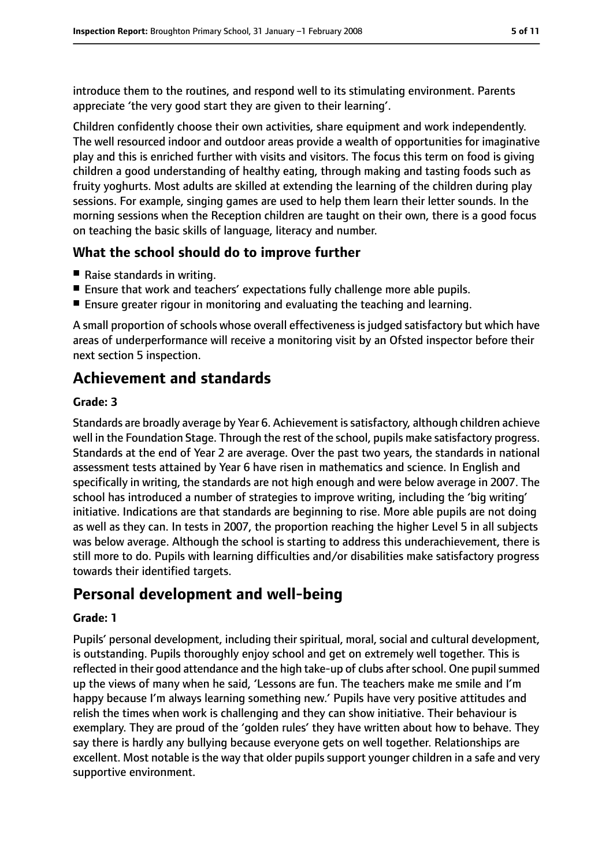introduce them to the routines, and respond well to its stimulating environment. Parents appreciate 'the very good start they are given to their learning'.

Children confidently choose their own activities, share equipment and work independently. The well resourced indoor and outdoor areas provide a wealth of opportunities for imaginative play and this is enriched further with visits and visitors. The focus this term on food is giving children a good understanding of healthy eating, through making and tasting foods such as fruity yoghurts. Most adults are skilled at extending the learning of the children during play sessions. For example, singing games are used to help them learn their letter sounds. In the morning sessions when the Reception children are taught on their own, there is a good focus on teaching the basic skills of language, literacy and number.

# **What the school should do to improve further**

- Raise standards in writing.
- Ensure that work and teachers' expectations fully challenge more able pupils.
- Ensure greater rigour in monitoring and evaluating the teaching and learning.

A small proportion of schools whose overall effectiveness is judged satisfactory but which have areas of underperformance will receive a monitoring visit by an Ofsted inspector before their next section 5 inspection.

# **Achievement and standards**

#### **Grade: 3**

Standards are broadly average by Year 6. Achievement is satisfactory, although children achieve well in the Foundation Stage. Through the rest of the school, pupils make satisfactory progress. Standards at the end of Year 2 are average. Over the past two years, the standards in national assessment tests attained by Year 6 have risen in mathematics and science. In English and specifically in writing, the standards are not high enough and were below average in 2007. The school has introduced a number of strategies to improve writing, including the 'big writing' initiative. Indications are that standards are beginning to rise. More able pupils are not doing as well as they can. In tests in 2007, the proportion reaching the higher Level 5 in all subjects was below average. Although the school is starting to address this underachievement, there is still more to do. Pupils with learning difficulties and/or disabilities make satisfactory progress towards their identified targets.

# **Personal development and well-being**

#### **Grade: 1**

Pupils' personal development, including their spiritual, moral, social and cultural development, is outstanding. Pupils thoroughly enjoy school and get on extremely well together. This is reflected in their good attendance and the high take-up of clubs after school. One pupil summed up the views of many when he said, 'Lessons are fun. The teachers make me smile and I'm happy because I'm always learning something new.' Pupils have very positive attitudes and relish the times when work is challenging and they can show initiative. Their behaviour is exemplary. They are proud of the 'golden rules' they have written about how to behave. They say there is hardly any bullying because everyone gets on well together. Relationships are excellent. Most notable is the way that older pupils support younger children in a safe and very supportive environment.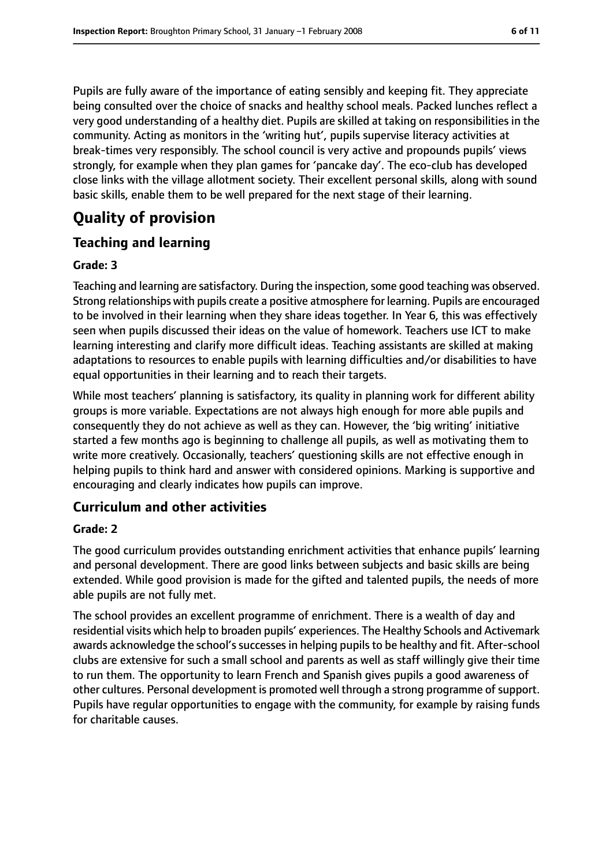Pupils are fully aware of the importance of eating sensibly and keeping fit. They appreciate being consulted over the choice of snacks and healthy school meals. Packed lunches reflect a very good understanding of a healthy diet. Pupils are skilled at taking on responsibilities in the community. Acting as monitors in the 'writing hut', pupils supervise literacy activities at break-times very responsibly. The school council is very active and propounds pupils' views strongly, for example when they plan games for 'pancake day'. The eco-club has developed close links with the village allotment society. Their excellent personal skills, along with sound

# **Quality of provision**

# **Teaching and learning**

#### **Grade: 3**

Teaching and learning are satisfactory. During the inspection, some good teaching was observed. Strong relationships with pupils create a positive atmosphere for learning. Pupils are encouraged to be involved in their learning when they share ideas together. In Year 6, this was effectively seen when pupils discussed their ideas on the value of homework. Teachers use ICT to make learning interesting and clarify more difficult ideas. Teaching assistants are skilled at making adaptations to resources to enable pupils with learning difficulties and/or disabilities to have equal opportunities in their learning and to reach their targets.

basic skills, enable them to be well prepared for the next stage of their learning.

While most teachers' planning is satisfactory, its quality in planning work for different ability groups is more variable. Expectations are not always high enough for more able pupils and consequently they do not achieve as well as they can. However, the 'big writing' initiative started a few months ago is beginning to challenge all pupils, as well as motivating them to write more creatively. Occasionally, teachers' questioning skills are not effective enough in helping pupils to think hard and answer with considered opinions. Marking is supportive and encouraging and clearly indicates how pupils can improve.

## **Curriculum and other activities**

#### **Grade: 2**

The good curriculum provides outstanding enrichment activities that enhance pupils' learning and personal development. There are good links between subjects and basic skills are being extended. While good provision is made for the gifted and talented pupils, the needs of more able pupils are not fully met.

The school provides an excellent programme of enrichment. There is a wealth of day and residential visits which help to broaden pupils' experiences. The Healthy Schools and Activemark awards acknowledge the school's successes in helping pupils to be healthy and fit. After-school clubs are extensive for such a small school and parents as well as staff willingly give their time to run them. The opportunity to learn French and Spanish gives pupils a good awareness of other cultures. Personal development is promoted well through a strong programme of support. Pupils have regular opportunities to engage with the community, for example by raising funds for charitable causes.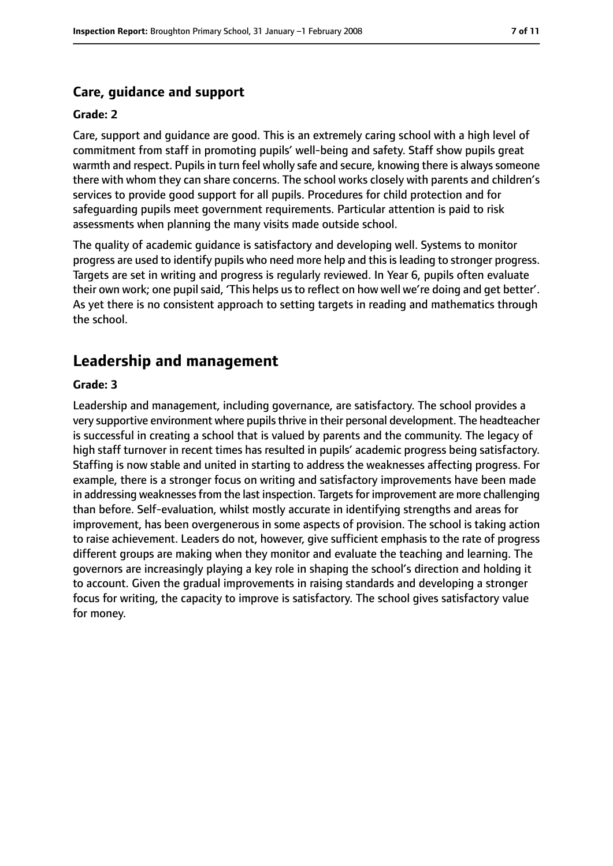## **Care, guidance and support**

#### **Grade: 2**

Care, support and guidance are good. This is an extremely caring school with a high level of commitment from staff in promoting pupils' well-being and safety. Staff show pupils great warmth and respect. Pupils in turn feel wholly safe and secure, knowing there is always someone there with whom they can share concerns. The school works closely with parents and children's services to provide good support for all pupils. Procedures for child protection and for safeguarding pupils meet government requirements. Particular attention is paid to risk assessments when planning the many visits made outside school.

The quality of academic guidance is satisfactory and developing well. Systems to monitor progress are used to identify pupils who need more help and this is leading to stronger progress. Targets are set in writing and progress is regularly reviewed. In Year 6, pupils often evaluate their own work; one pupil said, 'This helps us to reflect on how well we're doing and get better'. As yet there is no consistent approach to setting targets in reading and mathematics through the school.

# **Leadership and management**

#### **Grade: 3**

Leadership and management, including governance, are satisfactory. The school provides a very supportive environment where pupils thrive in their personal development. The headteacher is successful in creating a school that is valued by parents and the community. The legacy of high staff turnover in recent times has resulted in pupils' academic progress being satisfactory. Staffing is now stable and united in starting to address the weaknesses affecting progress. For example, there is a stronger focus on writing and satisfactory improvements have been made in addressing weaknesses from the last inspection. Targets for improvement are more challenging than before. Self-evaluation, whilst mostly accurate in identifying strengths and areas for improvement, has been overgenerous in some aspects of provision. The school is taking action to raise achievement. Leaders do not, however, give sufficient emphasis to the rate of progress different groups are making when they monitor and evaluate the teaching and learning. The governors are increasingly playing a key role in shaping the school's direction and holding it to account. Given the gradual improvements in raising standards and developing a stronger focus for writing, the capacity to improve is satisfactory. The school gives satisfactory value for money.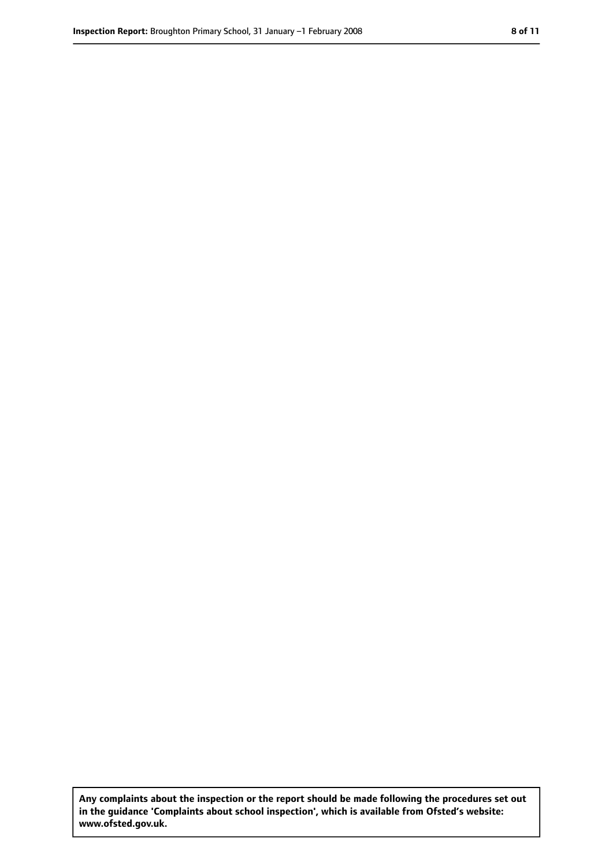**Any complaints about the inspection or the report should be made following the procedures set out in the guidance 'Complaints about school inspection', which is available from Ofsted's website: www.ofsted.gov.uk.**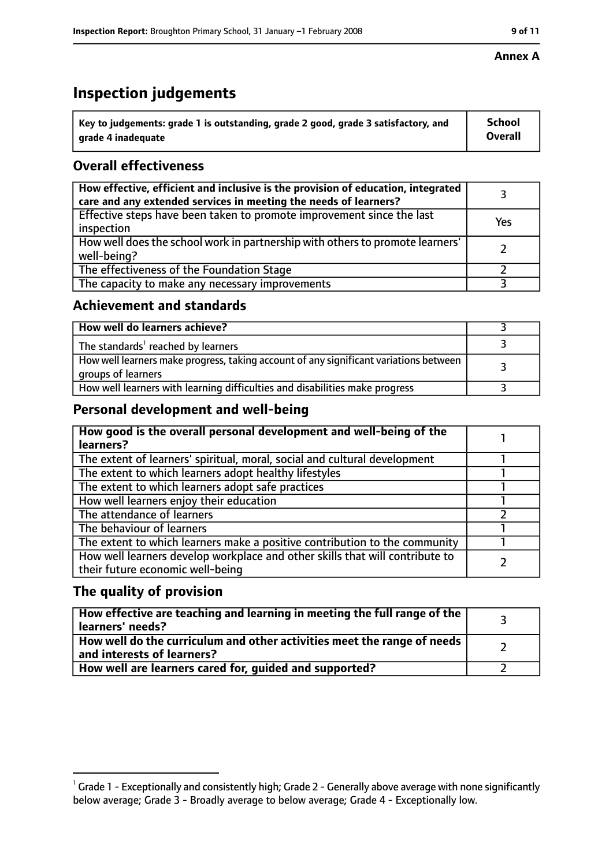# **Inspection judgements**

| $^{\backprime}$ Key to judgements: grade 1 is outstanding, grade 2 good, grade 3 satisfactory, and | School         |
|----------------------------------------------------------------------------------------------------|----------------|
| arade 4 inadeguate                                                                                 | <b>Overall</b> |

# **Overall effectiveness**

| How effective, efficient and inclusive is the provision of education, integrated<br>care and any extended services in meeting the needs of learners? |     |
|------------------------------------------------------------------------------------------------------------------------------------------------------|-----|
| Effective steps have been taken to promote improvement since the last<br>inspection                                                                  | Yes |
| How well does the school work in partnership with others to promote learners'<br>well-being?                                                         |     |
| The effectiveness of the Foundation Stage                                                                                                            |     |
| The capacity to make any necessary improvements                                                                                                      |     |

## **Achievement and standards**

| How well do learners achieve?                                                                               |  |
|-------------------------------------------------------------------------------------------------------------|--|
| The standards <sup>1</sup> reached by learners                                                              |  |
| How well learners make progress, taking account of any significant variations between<br>groups of learners |  |
| How well learners with learning difficulties and disabilities make progress                                 |  |

## **Personal development and well-being**

| How good is the overall personal development and well-being of the<br>learners?                                  |  |
|------------------------------------------------------------------------------------------------------------------|--|
| The extent of learners' spiritual, moral, social and cultural development                                        |  |
| The extent to which learners adopt healthy lifestyles                                                            |  |
| The extent to which learners adopt safe practices                                                                |  |
| How well learners enjoy their education                                                                          |  |
| The attendance of learners                                                                                       |  |
| The behaviour of learners                                                                                        |  |
| The extent to which learners make a positive contribution to the community                                       |  |
| How well learners develop workplace and other skills that will contribute to<br>their future economic well-being |  |

# **The quality of provision**

| How effective are teaching and learning in meeting the full range of the<br>learners' needs?          |  |
|-------------------------------------------------------------------------------------------------------|--|
| How well do the curriculum and other activities meet the range of needs<br>and interests of learners? |  |
| How well are learners cared for, guided and supported?                                                |  |

#### **Annex A**

 $^1$  Grade 1 - Exceptionally and consistently high; Grade 2 - Generally above average with none significantly below average; Grade 3 - Broadly average to below average; Grade 4 - Exceptionally low.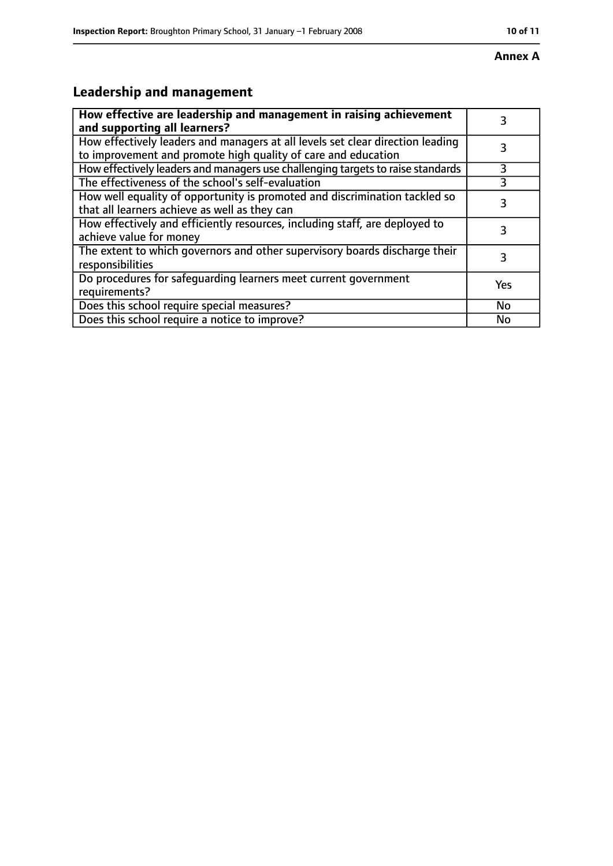#### **Annex A**

# **Leadership and management**

| How effective are leadership and management in raising achievement<br>and supporting all learners?                                              |     |
|-------------------------------------------------------------------------------------------------------------------------------------------------|-----|
| How effectively leaders and managers at all levels set clear direction leading<br>to improvement and promote high quality of care and education |     |
| How effectively leaders and managers use challenging targets to raise standards                                                                 | 3   |
| The effectiveness of the school's self-evaluation                                                                                               | 3   |
| How well equality of opportunity is promoted and discrimination tackled so<br>that all learners achieve as well as they can                     | 3   |
| How effectively and efficiently resources, including staff, are deployed to<br>achieve value for money                                          | 3   |
| The extent to which governors and other supervisory boards discharge their<br>responsibilities                                                  |     |
| Do procedures for safequarding learners meet current government<br>requirements?                                                                | Yes |
| Does this school require special measures?                                                                                                      | No  |
| Does this school require a notice to improve?                                                                                                   | No  |